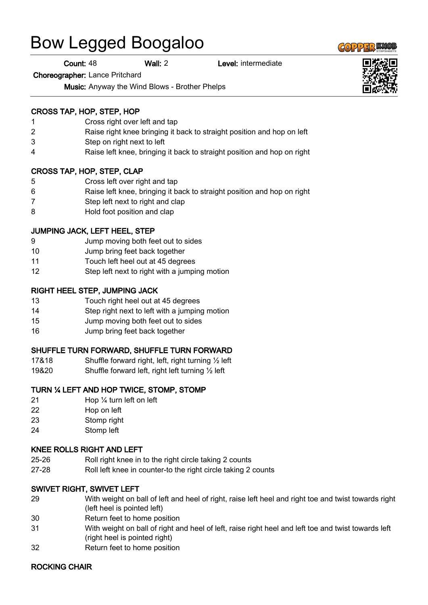# Bow Legged Boogaloo

Count: 48 Wall: 2 Level: intermediate

Choreographer: Lance Pritchard

Music: Anyway the Wind Blows - Brother Phelps

#### CROSS TAP, HOP, STEP, HOP

- 1 Cross right over left and tap
- 2 Raise right knee bringing it back to straight position and hop on left
- 3 Step on right next to left
- 4 Raise left knee, bringing it back to straight position and hop on right

#### CROSS TAP, HOP, STEP, CLAP

- 5 Cross left over right and tap
- 6 Raise left knee, bringing it back to straight position and hop on right
- 7 Step left next to right and clap
- 8 Hold foot position and clap

#### JUMPING JACK, LEFT HEEL, STEP

- 9 Jump moving both feet out to sides
- 10 Jump bring feet back together
- 11 Touch left heel out at 45 degrees
- 12 Step left next to right with a jumping motion

#### RIGHT HEEL STEP, JUMPING JACK

- 13 Touch right heel out at 45 degrees
- 14 Step right next to left with a jumping motion
- 15 Jump moving both feet out to sides
- 16 Jump bring feet back together

#### SHUFFLE TURN FORWARD, SHUFFLE TURN FORWARD

- 17&18 Shuffle forward right, left, right turning ½ left
- 19&20 Shuffle forward left, right left turning ½ left

#### TURN ¼ LEFT AND HOP TWICE, STOMP, STOMP

- 21 Hop ¼ turn left on left
- 22 Hop on left
- 23 Stomp right
- 24 Stomp left

#### KNEE ROLLS RIGHT AND LEFT

- 25-26 Roll right knee in to the right circle taking 2 counts
- 27-28 Roll left knee in counter-to the right circle taking 2 counts

#### SWIVET RIGHT, SWIVET LEFT

- 29 With weight on ball of left and heel of right, raise left heel and right toe and twist towards right (left heel is pointed left)
- 30 Return feet to home position
- 31 With weight on ball of right and heel of left, raise right heel and left toe and twist towards left (right heel is pointed right)
- 32 Return feet to home position

#### ROCKING CHAIR